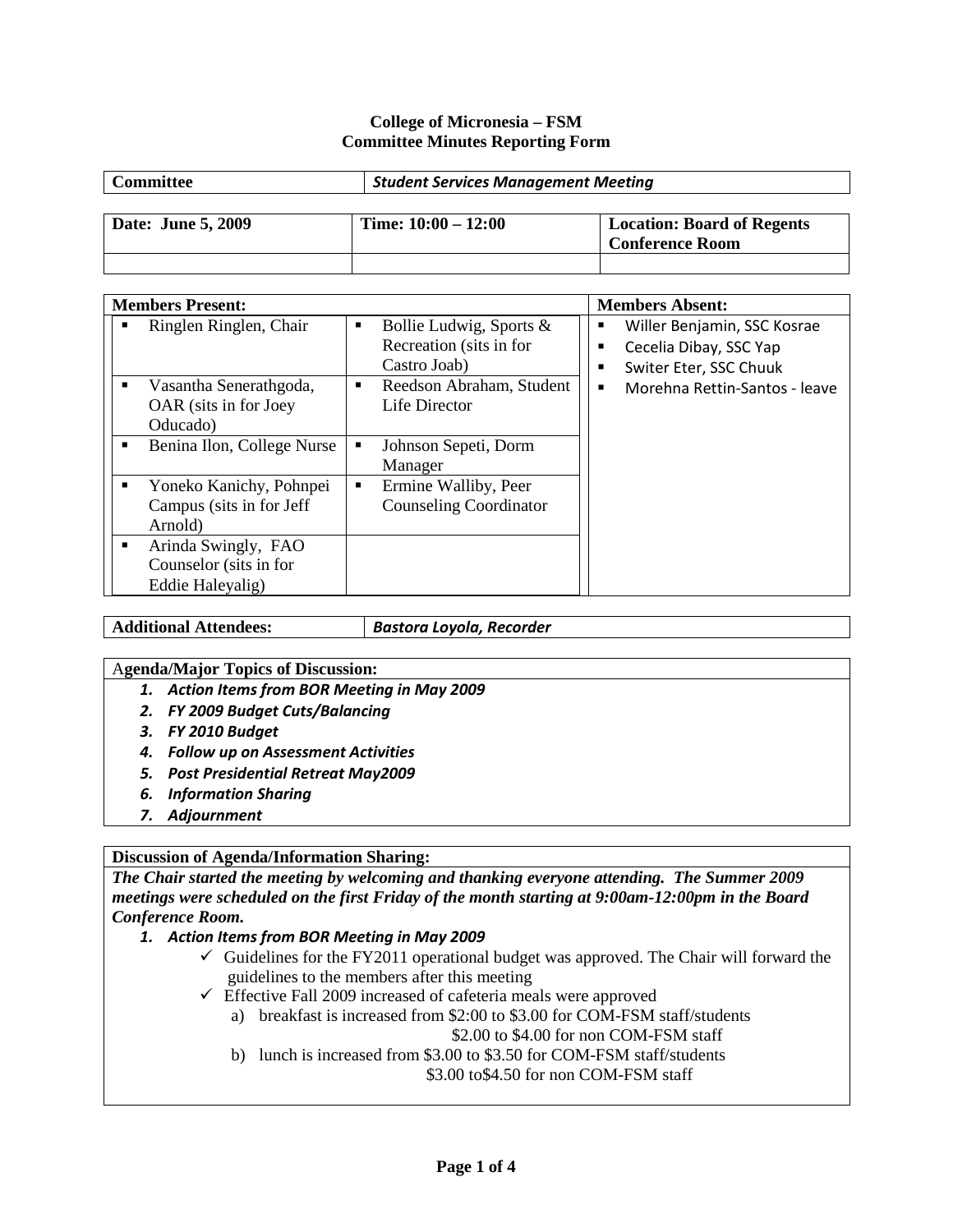#### **College of Micronesia – FSM Committee Minutes Reporting Form**

| Committee          | <b>Student Services Management Meeting</b> |                                   |  |
|--------------------|--------------------------------------------|-----------------------------------|--|
| Date: June 5, 2009 | Time: $10:00 - 12:00$                      | <b>Location: Board of Regents</b> |  |
|                    |                                            | <b>Conference Room</b>            |  |

| <b>Members Present:</b>                                           |                                                                                      |   | <b>Members Absent:</b>                                                          |
|-------------------------------------------------------------------|--------------------------------------------------------------------------------------|---|---------------------------------------------------------------------------------|
| Ringlen Ringlen, Chair<br>■                                       | Bollie Ludwig, Sports &<br>$\blacksquare$<br>Recreation (sits in for<br>Castro Joab) | п | Willer Benjamin, SSC Kosrae<br>Cecelia Dibay, SSC Yap<br>Switer Eter, SSC Chuuk |
| Vasantha Senerathgoda,<br>OAR (sits in for Joey)<br>Oducado)      | Reedson Abraham, Student<br>$\blacksquare$<br>Life Director                          | ٠ | Morehna Rettin-Santos - leave                                                   |
| Benina Ilon, College Nurse                                        | Johnson Sepeti, Dorm<br>٠<br>Manager                                                 |   |                                                                                 |
| Yoneko Kanichy, Pohnpei<br>Campus (sits in for Jeff<br>Arnold)    | Ermine Walliby, Peer<br>٠<br><b>Counseling Coordinator</b>                           |   |                                                                                 |
| Arinda Swingly, FAO<br>Counselor (sits in for<br>Eddie Haleyalig) |                                                                                      |   |                                                                                 |

**Additional Attendees:** *Bastora Loyola, Recorder*

#### A**genda/Major Topics of Discussion:**

- *1. Action Items from BOR Meeting in May 2009*
- *2. FY 2009 Budget Cuts/Balancing*
- *3. FY 2010 Budget*
- *4. Follow up on Assessment Activities*
- *5. Post Presidential Retreat May2009*
- *6. Information Sharing*
- *7. Adjournment*

## **Discussion of Agenda/Information Sharing:**

*The Chair started the meeting by welcoming and thanking everyone attending. The Summer 2009 meetings were scheduled on the first Friday of the month starting at 9:00am-12:00pm in the Board Conference Room.*

- *1. Action Items from BOR Meeting in May 2009*
	- $\checkmark$  Guidelines for the FY2011 operational budget was approved. The Chair will forward the guidelines to the members after this meeting
	- $\checkmark$  Effective Fall 2009 increased of cafeteria meals were approved
		- a) breakfast is increased from \$2:00 to \$3.00 for COM-FSM staff/students \$2.00 to \$4.00 for non COM-FSM staff
		- b) lunch is increased from \$3.00 to \$3.50 for COM-FSM staff/students \$3.00 to\$4.50 for non COM-FSM staff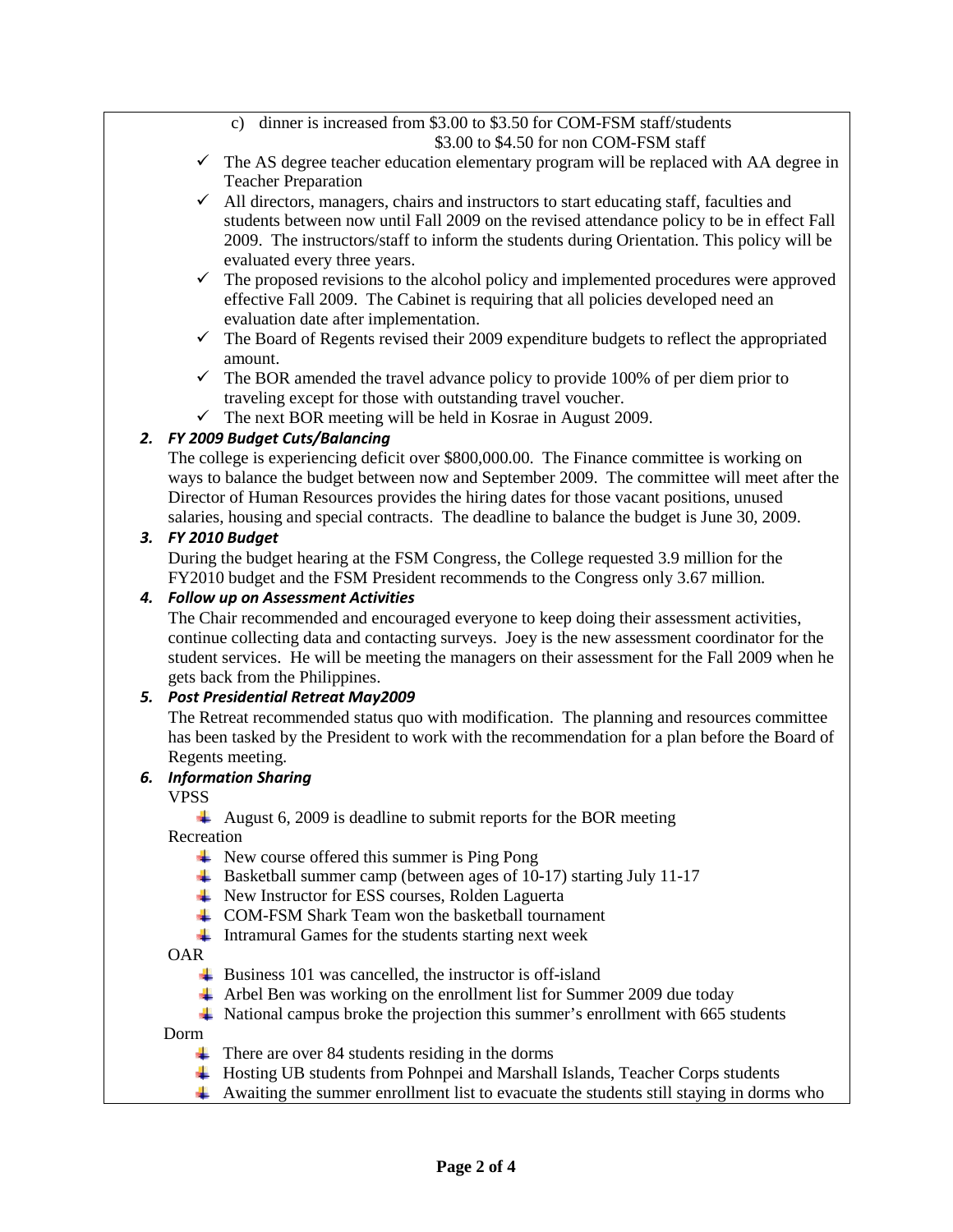c) dinner is increased from \$3.00 to \$3.50 for COM-FSM staff/students \$3.00 to \$4.50 for non COM-FSM staff

- $\checkmark$  The AS degree teacher education elementary program will be replaced with AA degree in Teacher Preparation
- $\checkmark$  All directors, managers, chairs and instructors to start educating staff, faculties and students between now until Fall 2009 on the revised attendance policy to be in effect Fall 2009. The instructors/staff to inform the students during Orientation. This policy will be evaluated every three years.
- $\checkmark$  The proposed revisions to the alcohol policy and implemented procedures were approved effective Fall 2009. The Cabinet is requiring that all policies developed need an evaluation date after implementation.
- $\checkmark$  The Board of Regents revised their 2009 expenditure budgets to reflect the appropriated amount.
- $\checkmark$  The BOR amended the travel advance policy to provide 100% of per diem prior to traveling except for those with outstanding travel voucher.
- $\checkmark$  The next BOR meeting will be held in Kosrae in August 2009.

# *2. FY 2009 Budget Cuts/Balancing*

The college is experiencing deficit over \$800,000.00. The Finance committee is working on ways to balance the budget between now and September 2009. The committee will meet after the Director of Human Resources provides the hiring dates for those vacant positions, unused salaries, housing and special contracts. The deadline to balance the budget is June 30, 2009.

## *3. FY 2010 Budget*

During the budget hearing at the FSM Congress, the College requested 3.9 million for the FY2010 budget and the FSM President recommends to the Congress only 3.67 million.

#### *4. Follow up on Assessment Activities*

The Chair recommended and encouraged everyone to keep doing their assessment activities, continue collecting data and contacting surveys. Joey is the new assessment coordinator for the student services. He will be meeting the managers on their assessment for the Fall 2009 when he gets back from the Philippines.

## *5. Post Presidential Retreat May2009*

The Retreat recommended status quo with modification. The planning and resources committee has been tasked by the President to work with the recommendation for a plan before the Board of Regents meeting.

## *6. Information Sharing*

VPSS

August 6, 2009 is deadline to submit reports for the BOR meeting

Recreation

- $\downarrow$  New course offered this summer is Ping Pong
- $\overline{\phantom{a} \bullet}$  Basketball summer camp (between ages of 10-17) starting July 11-17
- New Instructor for ESS courses, Rolden Laguerta
- COM-FSM Shark Team won the basketball tournament
- Intramural Games for the students starting next week

OAR

- $\overline{\phantom{a}}$  Business 101 was cancelled, the instructor is off-island
- $\overline{\phantom{a}}$  Arbel Ben was working on the enrollment list for Summer 2009 due today
- National campus broke the projection this summer's enrollment with 665 students

Dorm

- $\overline{\phantom{a}}$  There are over 84 students residing in the dorms
- Hosting UB students from Pohnpei and Marshall Islands, Teacher Corps students
- Awaiting the summer enrollment list to evacuate the students still staying in dorms who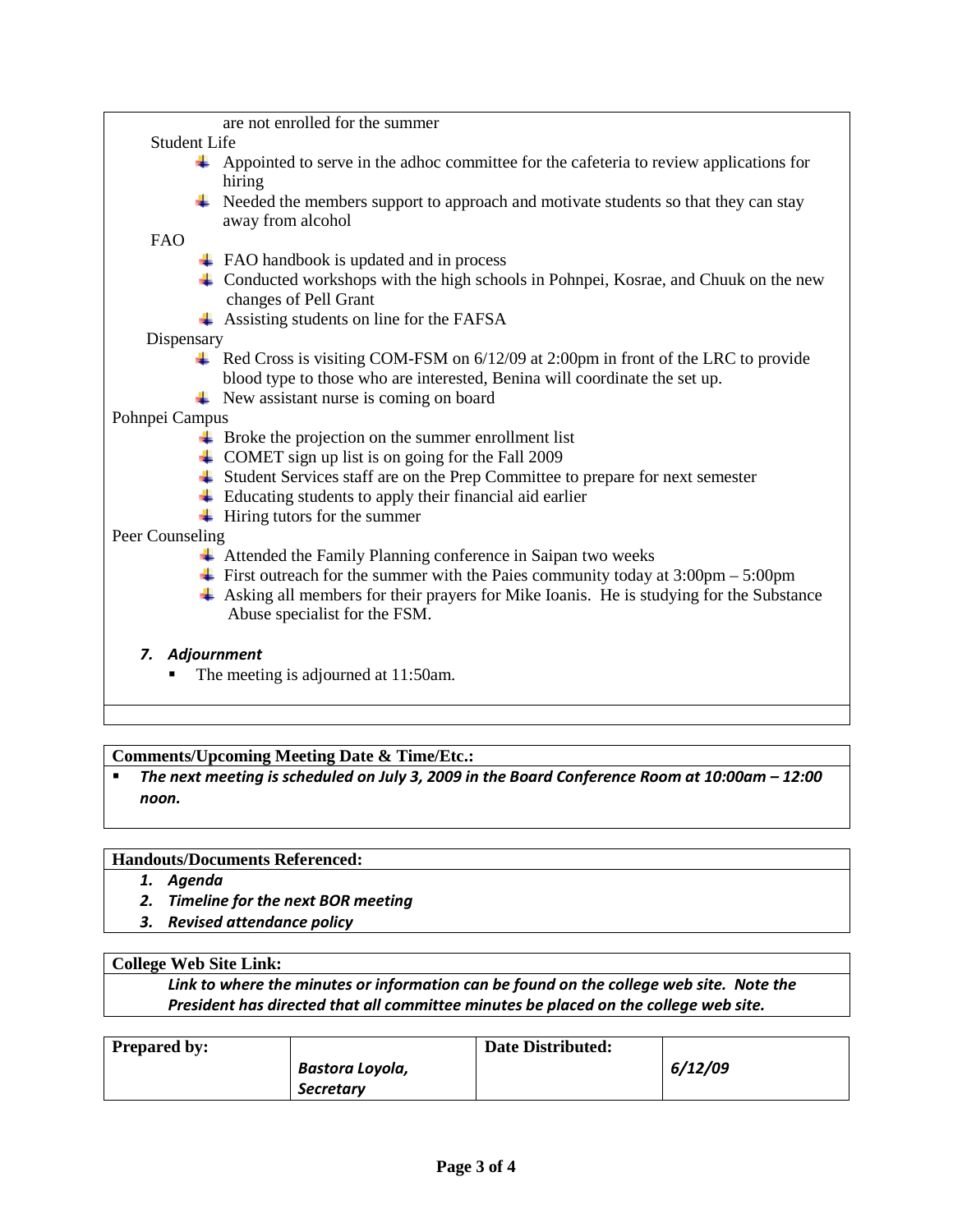| are not enrolled for the summer                                                                                                      |  |  |  |
|--------------------------------------------------------------------------------------------------------------------------------------|--|--|--|
| <b>Student Life</b>                                                                                                                  |  |  |  |
| Appointed to serve in the adhoc committee for the cafeteria to review applications for                                               |  |  |  |
| hiring                                                                                                                               |  |  |  |
| Needed the members support to approach and motivate students so that they can stay                                                   |  |  |  |
| away from alcohol                                                                                                                    |  |  |  |
| <b>FAO</b>                                                                                                                           |  |  |  |
| $\overline{\phantom{a}}$ FAO handbook is updated and in process                                                                      |  |  |  |
| $\downarrow$ Conducted workshops with the high schools in Pohnpei, Kosrae, and Chuuk on the new<br>changes of Pell Grant             |  |  |  |
| $\overline{\phantom{a}}$ Assisting students on line for the FAFSA                                                                    |  |  |  |
| Dispensary                                                                                                                           |  |  |  |
| $\perp$ Red Cross is visiting COM-FSM on 6/12/09 at 2:00pm in front of the LRC to provide                                            |  |  |  |
| blood type to those who are interested, Benina will coordinate the set up.                                                           |  |  |  |
| $\downarrow$ New assistant nurse is coming on board                                                                                  |  |  |  |
| Pohnpei Campus                                                                                                                       |  |  |  |
| Broke the projection on the summer enrollment list                                                                                   |  |  |  |
| $\triangleq$ COMET sign up list is on going for the Fall 2009                                                                        |  |  |  |
| Student Services staff are on the Prep Committee to prepare for next semester                                                        |  |  |  |
| $\overline{\phantom{a}}$ Educating students to apply their financial aid earlier                                                     |  |  |  |
| $\overline{\phantom{a}}$ Hiring tutors for the summer                                                                                |  |  |  |
| Peer Counseling                                                                                                                      |  |  |  |
| Attended the Family Planning conference in Saipan two weeks                                                                          |  |  |  |
| $\ddot{\text{+}}$ First outreach for the summer with the Paies community today at 3:00pm – 5:00pm                                    |  |  |  |
| $\triangleq$ Asking all members for their prayers for Mike Ioanis. He is studying for the Substance<br>Abuse specialist for the FSM. |  |  |  |
|                                                                                                                                      |  |  |  |
| 7. Adjournment                                                                                                                       |  |  |  |
| The meeting is adjourned at 11:50am.                                                                                                 |  |  |  |

# **Comments/Upcoming Meeting Date & Time/Etc.:**

 *The next meeting is scheduled on July 3, 2009 in the Board Conference Room at 10:00am – 12:00 noon.*

## **Handouts/Documents Referenced:**

- *1. Agenda*
- *2. Timeline for the next BOR meeting*
- *3. Revised attendance policy*

#### **College Web Site Link:**

*Link to where the minutes or information can be found on the college web site. Note the President has directed that all committee minutes be placed on the college web site.* 

| <b>Prepared by:</b> |                 | <b>Date Distributed:</b> |         |
|---------------------|-----------------|--------------------------|---------|
|                     | Bastora Loyola, |                          | 6/12/09 |
|                     | Secretary       |                          |         |